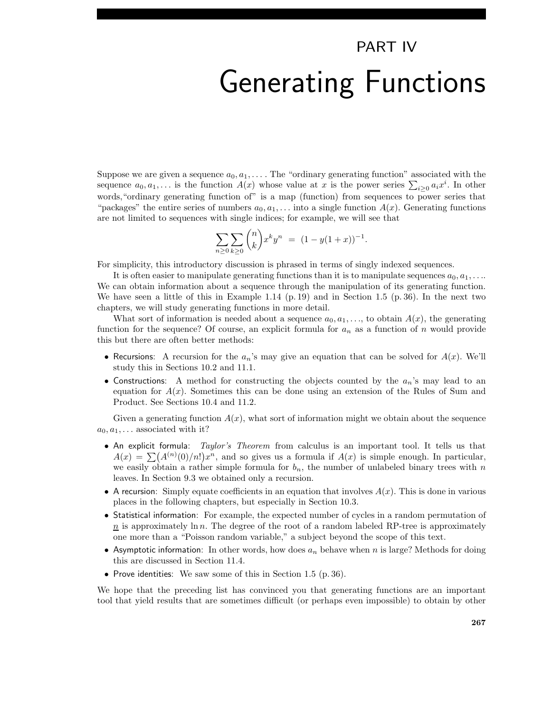## PART IV Generating Functions

Suppose we are given a sequence  $a_0, a_1, \ldots$ . The "ordinary generating function" associated with the sequence  $a_0, a_1, \ldots$  is the function  $A(x)$  whose value at x is the power series  $\sum_{i\geq 0} a_i x^i$ . In other words, "ordinary generating function of" is a map (function) from sequences to power series that "packages" the entire series of numbers  $a_0, a_1, \ldots$  into a single function  $A(x)$ . Generating functions are not limited to sequences with single indices; for example, we will see that

$$
\sum_{n\geq 0}\sum_{k\geq 0} \binom{n}{k} x^k y^n = (1 - y(1+x))^{-1}.
$$

For simplicity, this introductory discussion is phrased in terms of singly indexed sequences.

It is often easier to manipulate generating functions than it is to manipulate sequences  $a_0, a_1, \ldots$ We can obtain information about a sequence through the manipulation of its generating function. We have seen a little of this in Example 1.14 (p. 19) and in Section 1.5 (p. 36). In the next two chapters, we will study generating functions in more detail.

What sort of information is needed about a sequence  $a_0, a_1, \ldots$ , to obtain  $A(x)$ , the generating function for the sequence? Of course, an explicit formula for  $a_n$  as a function of n would provide this but there are often better methods:

- Recursions: A recursion for the  $a_n$ 's may give an equation that can be solved for  $A(x)$ . We'll study this in Sections 10.2 and 11.1.
- Constructions: A method for constructing the objects counted by the  $a_n$ 's may lead to an equation for  $A(x)$ . Sometimes this can be done using an extension of the Rules of Sum and Product. See Sections 10.4 and 11.2.

Given a generating function  $A(x)$ , what sort of information might we obtain about the sequence  $a_0, a_1, \ldots$  associated with it?

- An explicit formula: Taylor's Theorem from calculus is an important tool. It tells us that  $A(x) = \sum (A^{(n)}(0)/n!) x^n$ , and so gives us a formula if  $A(x)$  is simple enough. In particular, we easily obtain a rather simple formula for  $b_n$ , the number of unlabeled binary trees with n leaves. In Section 9.3 we obtained only a recursion.
- A recursion: Simply equate coefficients in an equation that involves  $A(x)$ . This is done in various places in the following chapters, but especially in Section 10.3.
- Statistical information: For example, the expected number of cycles in a random permutation of  $n \to n$  is approximately ln n. The degree of the root of a random labeled RP-tree is approximately one more than a "Poisson random variable," a subject beyond the scope of this text.
- Asymptotic information: In other words, how does  $a_n$  behave when n is large? Methods for doing this are discussed in Section 11.4.
- Prove identities: We saw some of this in Section 1.5 (p. 36).

We hope that the preceding list has convinced you that generating functions are an important tool that yield results that are sometimes difficult (or perhaps even impossible) to obtain by other